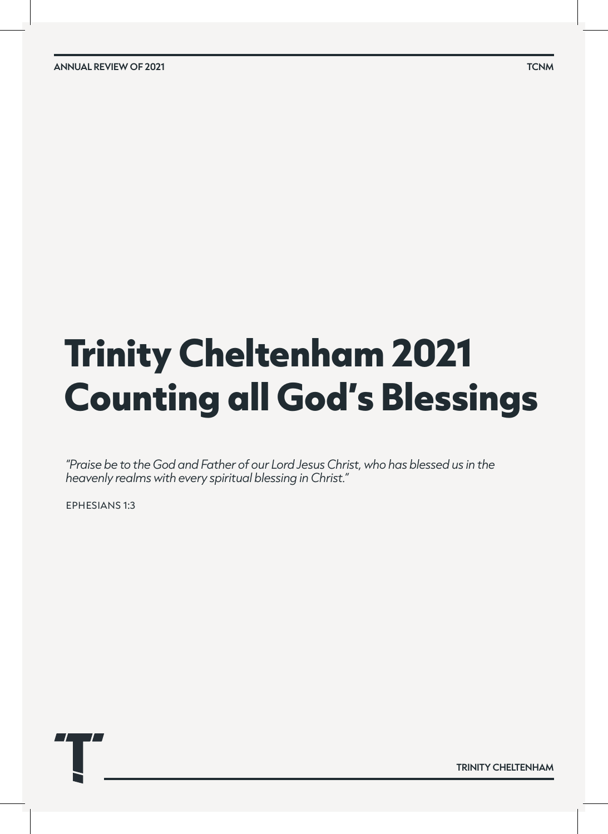**ANNUAL REVIEW OF 2021 TCNM**

# **Trinity Cheltenham 2021 Counting all God's Blessings**

*"Praise be to the God and Father of our Lord Jesus Christ, who has blessed us in the heavenly realms with every spiritual blessing in Christ."* 

ephesians 1:3

**TRINITY CHELTENHAM**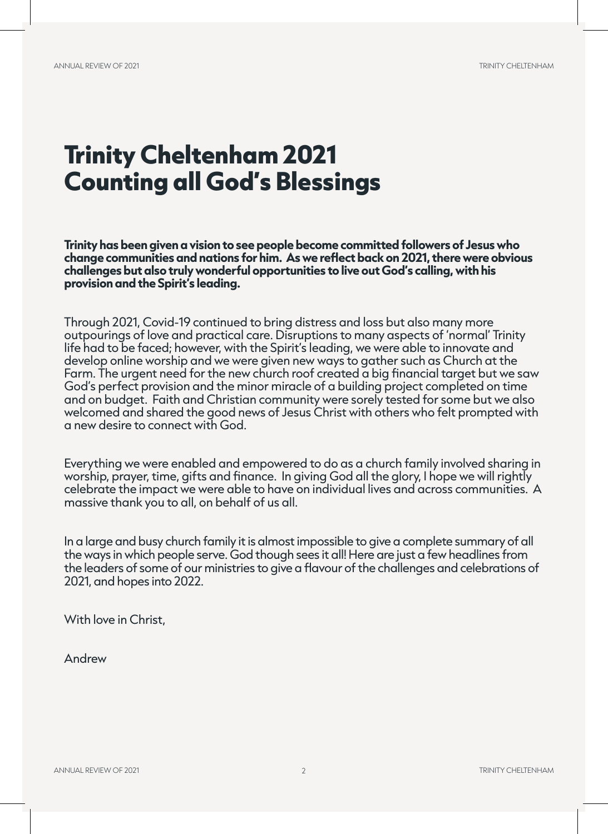## **Trinity Cheltenham 2021 Counting all God's Blessings**

**Trinity has been given a vision to see people become committed followers of Jesus who change communities and nations for him. As we reflect back on 2021, there were obvious challenges but also truly wonderful opportunities to live out God's calling, with his provision and the Spirit's leading.** 

Through 2021, Covid-19 continued to bring distress and loss but also many more outpourings of love and practical care. Disruptions to many aspects of 'normal' Trinity life had to be faced; however, with the Spirit's leading, we were able to innovate and develop online worship and we were given new ways to gather such as Church at the Farm. The urgent need for the new church roof created a big financial target but we saw God's perfect provision and the minor miracle of a building project completed on time and on budget. Faith and Christian community were sorely tested for some but we also welcomed and shared the good news of Jesus Christ with others who felt prompted with a new desire to connect with God.

Everything we were enabled and empowered to do as a church family involved sharing in worship, prayer, time, gifts and finance. In giving God all the glory, I hope we will rightly celebrate the impact we were able to have on individual lives and across communities. A massive thank you to all, on behalf of us all.

In a large and busy church family it is almost impossible to give a complete summary of all the ways in which people serve. God though sees it all! Here are just a few headlines from the leaders of some of our ministries to give a flavour of the challenges and celebrations of 2021, and hopes into 2022.

With love in Christ,

Andrew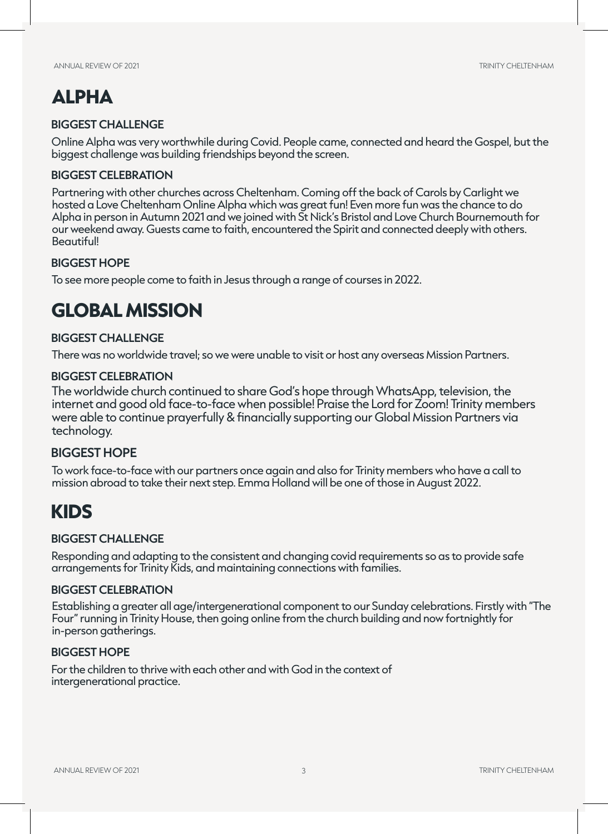### **ALPHA**

#### **BIGGEST CHALLENGE**

Online Alpha was very worthwhile during Covid. People came, connected and heard the Gospel, but the biggest challenge was building friendships beyond the screen.

#### **BIGGEST CELEBRATION**

Partnering with other churches across Cheltenham. Coming off the back of Carols by Carlight we hosted a Love Cheltenham Online Alpha which was great fun! Even more fun was the chance to do Alpha in person in Autumn 2021 and we joined with St Nick's Bristol and Love Church Bournemouth for our weekend away. Guests came to faith, encountered the Spirit and connected deeply with others. Beautiful!

#### **BIGGEST HOPE**

To see more people come to faith in Jesus through a range of courses in 2022.

### **GLOBAL MISSION**

#### **BIGGEST CHALLENGE**

There was no worldwide travel; so we were unable to visit or host any overseas Mission Partners.

#### **BIGGEST CELEBRATION**

The worldwide church continued to share God's hope through WhatsApp, television, the internet and good old face-to-face when possible! Praise the Lord for Zoom! Trinity members were able to continue prayerfully & financially supporting our Global Mission Partners via technology.

#### **BIGGEST HOPE**

To work face-to-face with our partners once again and also for Trinity members who have a call to mission abroad to take their next step. Emma Holland will be one of those in August 2022.

### **KIDS**

#### **BIGGEST CHALLENGE**

Responding and adapting to the consistent and changing covid requirements so as to provide safe arrangements for Trinity Kids, and maintaining connections with families.

#### **BIGGEST CELEBRATION**

 Establishing a greater all age/intergenerational component to our Sunday celebrations. Firstly with "The Four" running in Trinity House, then going online from the church building and now fortnightly for in-person gatherings.

#### **BIGGEST HOPE**

For the children to thrive with each other and with God in the context of intergenerational practice.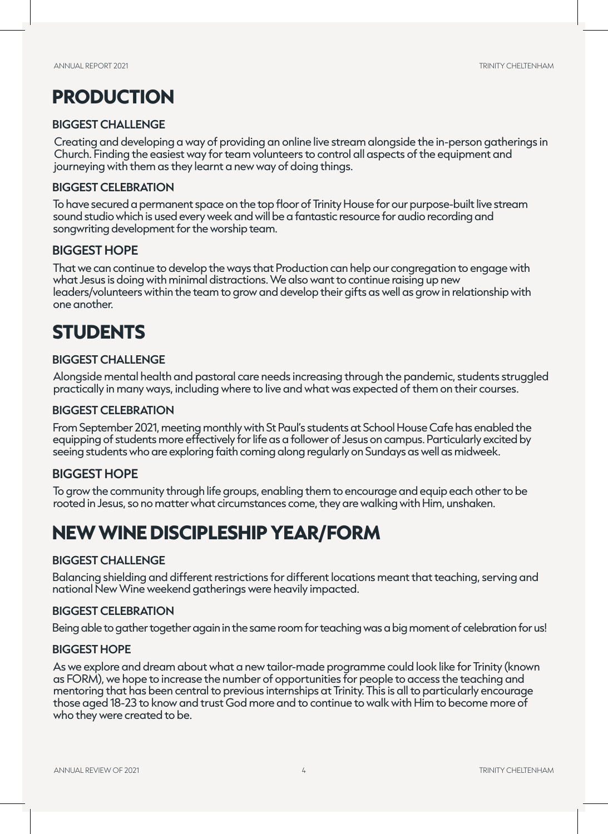### **PRODUCTION**

#### **BIGGEST CHALLENGE**

Creating and developing a way of providing an online live stream alongside the in-person gatherings in Church. Finding the easiest way for team volunteers to control all aspects of the equipment and journeying with them as they learnt a new way of doing things.

#### **BIGGEST CELEBRATION**

To have secured a permanent space on the top floor of Trinity House for our purpose-built live stream sound studio which is used every week and will be a fantastic resource for audio recording and songwriting development for the worship team.

#### **BIGGEST HOPE**

That we can continue to develop the ways that Production can help our congregation to engage with what Jesus is doing with minimal distractions. We also want to continue raising up new leaders/volunteers within the team to grow and develop their gifts as well as grow in relationship with one another.

### **STUDENTS**

#### **BIGGEST CHALLENGE**

Alongside mental health and pastoral care needs increasing through the pandemic, students struggled practically in many ways, including where to live and what was expected of them on their courses.

#### **BIGGEST CELEBRATION**

From September 2021, meeting monthly with St Paul's students at School House Cafe has enabled the equipping of students more effectively for life as a follower of Jesus on campus. Particularly excited by seeing students who are exploring faith coming along regularly on Sundays as well as midweek.

#### **BIGGEST HOPE**

To grow the community through life groups, enabling them to encourage and equip each other to be rooted in Jesus, so no matter what circumstances come, they are walking with Him, unshaken.

### **NEW WINE DISCIPLESHIP YEAR/FORM**

#### **BIGGEST CHALLENGE**

Balancing shielding and different restrictions for different locations meant that teaching, serving and national New Wine weekend gatherings were heavily impacted.

#### **BIGGEST CELEBRATION**

Being able to gather together again in the same room for teaching was a big moment of celebration for us!

#### **BIGGEST HOPE**

As we explore and dream about what a new tailor-made programme could look like for Trinity (known as FORM), we hope to increase the number of opportunities for people to access the teaching and mentoring that has been central to previous internships at Trinity. This is all to particularly encourage those aged 18-23 to know and trust God more and to continue to walk with Him to become more of who they were created to be.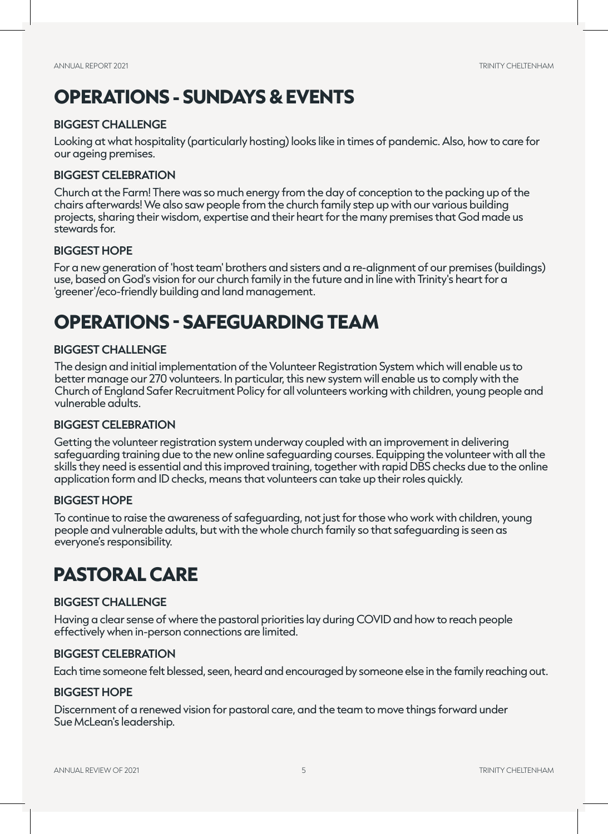### **OPERATIONS - SUNDAYS & EVENTS**

#### **BIGGEST CHALLENGE**

Looking at what hospitality (particularly hosting) looks like in times of pandemic. Also, how to care for our ageing premises.

#### **BIGGEST CELEBRATION**

Church at the Farm! There was so much energy from the day of conception to the packing up of the chairs afterwards! We also saw people from the church family step up with our various building projects, sharing their wisdom, expertise and their heart for the many premises that God made us stewards for.

#### **BIGGEST HOPE**

For a new generation of 'host team' brothers and sisters and a re-alignment of our premises (buildings) use, based on God's vision for our church family in the future and in line with Trinity's heart for a 'greener'/eco-friendly building and land management.

### **OPERATIONS - SAFEGUARDING TEAM**

#### **BIGGEST CHALLENGE**

The design and initial implementation of the Volunteer Registration System which will enable us to better manage our 270 volunteers. In particular, this new system will enable us to comply with the Church of England Safer Recruitment Policy for all volunteers working with children, young people and vulnerable adults.

#### **BIGGEST CELEBRATION**

Getting the volunteer registration system underway coupled with an improvement in delivering safeguarding training due to the new online safeguarding courses. Equipping the volunteer with all the skills they need is essential and this improved training, together with rapid DBS checks due to the online application form and ID checks, means that volunteers can take up their roles quickly.

#### **BIGGEST HOPE**

To continue to raise the awareness of safeguarding, not just for those who work with children, young people and vulnerable adults, but with the whole church family so that safeguarding is seen as everyone's responsibility.

### **PASTORAL CARE**

#### **BIGGEST CHALLENGE**

Having a clear sense of where the pastoral priorities lay during COVID and how to reach people effectively when in-person connections are limited.

#### **BIGGEST CELEBRATION**

Each time someone felt blessed, seen, heard and encouraged by someone else in the family reaching out.

#### **BIGGEST HOPE**

Discernment of a renewed vision for pastoral care, and the team to move things forward under Sue McLean's leadership.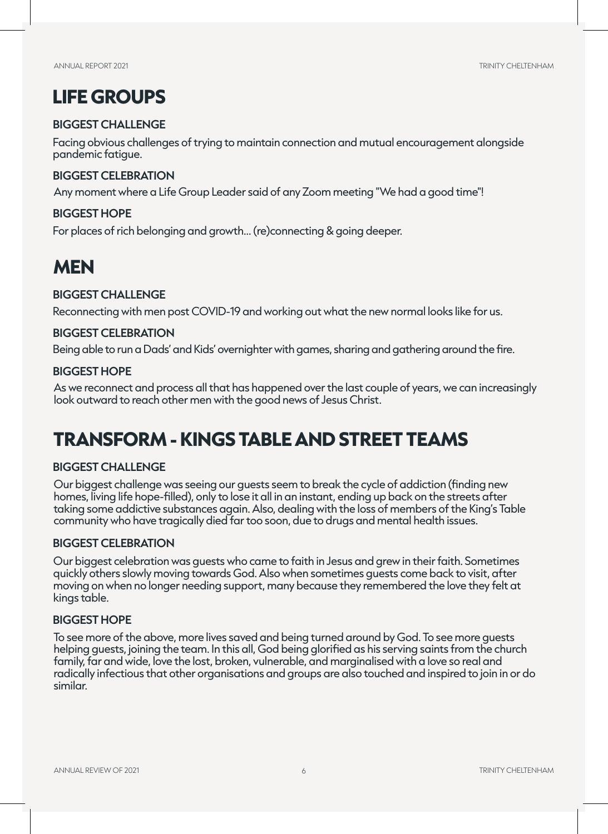### **LIFE GROUPS**

#### **BIGGEST CHALLENGE**

Facing obvious challenges of trying to maintain connection and mutual encouragement alongside pandemic fatigue.

#### **BIGGEST CELEBRATION**

Any moment where a Life Group Leader said of any Zoom meeting "We had a good time"!

#### **BIGGEST HOPE**

For places of rich belonging and growth... (re)connecting & going deeper.

### **MEN**

#### **BIGGEST CHALLENGE**

Reconnecting with men post COVID-19 and working out what the new normal looks like for us.

#### **BIGGEST CELEBRATION**

Being able to run a Dads' and Kids' overnighter with games, sharing and gathering around the fire.

#### **BIGGEST HOPE**

As we reconnect and process all that has happened over the last couple of years, we can increasingly look outward to reach other men with the good news of Jesus Christ.

### **TRANSFORM - KINGS TABLE AND STREET TEAMS**

#### **BIGGEST CHALLENGE**

Our biggest challenge was seeing our guests seem to break the cycle of addiction (finding new homes, living life hope-filled), only to lose it all in an instant, ending up back on the streets after taking some addictive substances again. Also, dealing with the loss of members of the King's Table community who have tragically died far too soon, due to drugs and mental health issues.

#### **BIGGEST CELEBRATION**

Our biggest celebration was guests who came to faith in Jesus and grew in their faith. Sometimes quickly others slowly moving towards God. Also when sometimes guests come back to visit, after moving on when no longer needing support, many because they remembered the love they felt at kings table.

#### **BIGGEST HOPE**

To see more of the above, more lives saved and being turned around by God. To see more guests helping guests, joining the team. In this all, God being glorified as his serving saints from the church family, far and wide, love the lost, broken, vulnerable, and marginalised with a love so real and radically infectious that other organisations and groups are also touched and inspired to join in or do similar.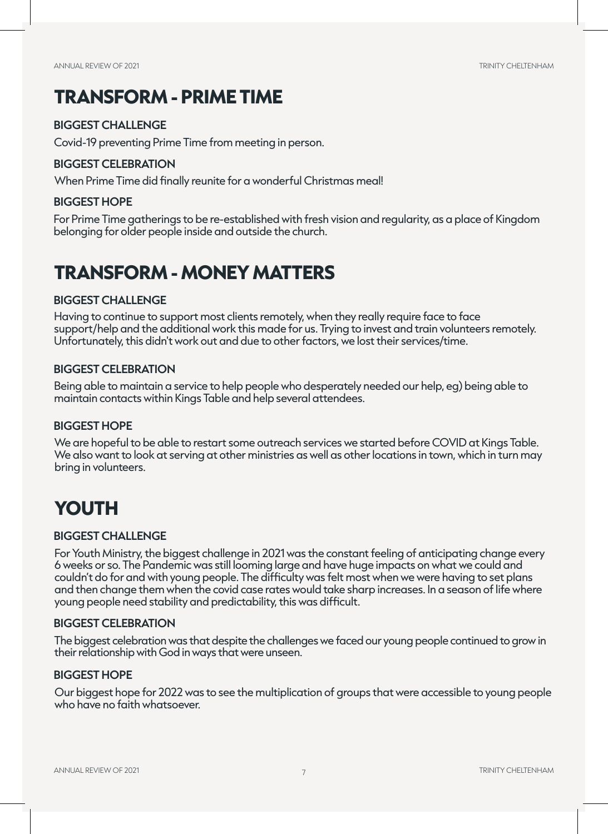### **TRANSFORM - PRIME TIME**

#### **BIGGEST CHALLENGE**

Covid-19 preventing Prime Time from meeting in person.

#### **BIGGEST CELEBRATION**

When Prime Time did finally reunite for a wonderful Christmas meal!

#### **BIGGEST HOPE**

For Prime Time gatherings to be re-established with fresh vision and regularity, as a place of Kingdom belonging for older people inside and outside the church.

### **TRANSFORM - MONEY MATTERS**

#### **BIGGEST CHALLENGE**

Having to continue to support most clients remotely, when they really require face to face support/help and the additional work this made for us. Trying to invest and train volunteers remotely. Unfortunately, this didn't work out and due to other factors, we lost their services/time.

#### **BIGGEST CELEBRATION**

Being able to maintain a service to help people who desperately needed our help, eg) being able to maintain contacts within Kings Table and help several attendees.

#### **BIGGEST HOPE**

We are hopeful to be able to restart some outreach services we started before COVID at Kings Table. We also want to look at serving at other ministries as well as other locations in town, which in turn may bring in volunteers.

### **YOUTH**

#### **BIGGEST CHALLENGE**

For Youth Ministry, the biggest challenge in 2021 was the constant feeling of anticipating change every 6 weeks or so. The Pandemic was still looming large and have huge impacts on what we could and couldn't do for and with young people. The difficulty was felt most when we were having to set plans and then change them when the covid case rates would take sharp increases. In a season of life where young people need stability and predictability, this was difficult.

#### **BIGGEST CELEBRATION**

The biggest celebration was that despite the challenges we faced our young people continued to grow in their relationship with God in ways that were unseen.

#### **BIGGEST HOPE**

Our biggest hope for 2022 was to see the multiplication of groups that were accessible to young people who have no faith whatsoever.